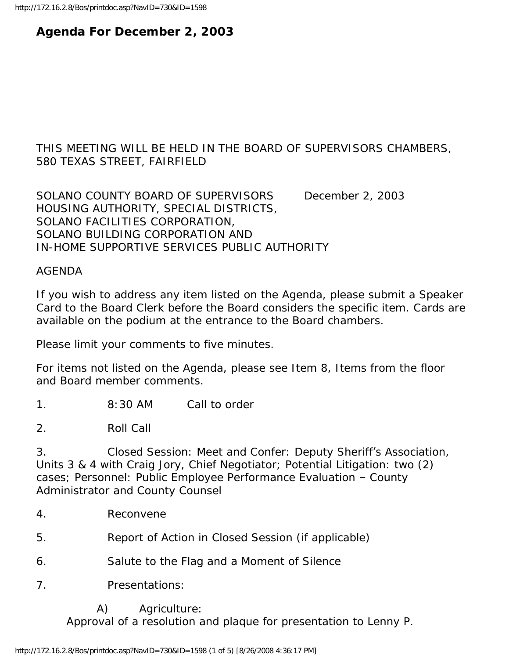# **Agenda For December 2, 2003**

## THIS MEETING WILL BE HELD IN THE BOARD OF SUPERVISORS CHAMBERS, 580 TEXAS STREET, FAIRFIELD

SOLANO COUNTY BOARD OF SUPERVISORS December 2, 2003 HOUSING AUTHORITY, SPECIAL DISTRICTS, SOLANO FACILITIES CORPORATION, SOLANO BUILDING CORPORATION AND IN-HOME SUPPORTIVE SERVICES PUBLIC AUTHORITY

#### AGENDA

If you wish to address any item listed on the Agenda, please submit a Speaker Card to the Board Clerk before the Board considers the specific item. Cards are available on the podium at the entrance to the Board chambers.

Please limit your comments to five minutes.

For items not listed on the Agenda, please see Item 8, Items from the floor and Board member comments.

1. 8:30 AM Call to order

2. Roll Call

3. Closed Session: Meet and Confer: Deputy Sheriff's Association, Units 3 & 4 with Craig Jory, Chief Negotiator; Potential Litigation: two (2) cases; Personnel: Public Employee Performance Evaluation – County Administrator and County Counsel

4. Reconvene

5. Report of Action in Closed Session (if applicable)

- 6. Salute to the Flag and a Moment of Silence
- 7. Presentations:

A) Agriculture:

Approval of a resolution and plaque for presentation to Lenny P.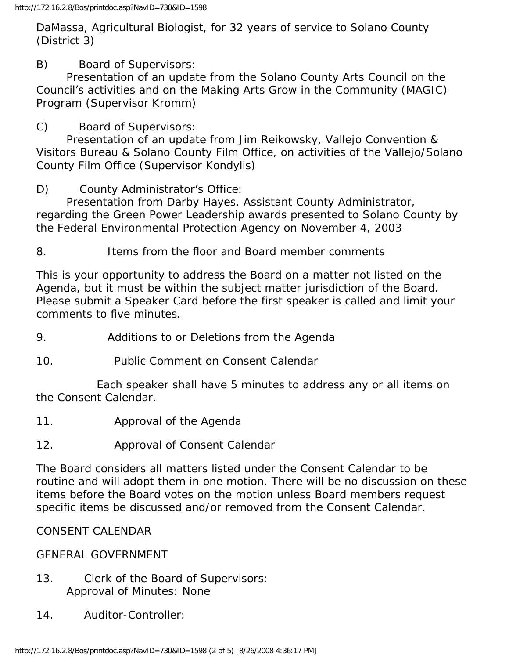DaMassa, Agricultural Biologist, for 32 years of service to Solano County (District 3)

B) Board of Supervisors:

 Presentation of an update from the Solano County Arts Council on the Council's activities and on the Making Arts Grow in the Community (MAGIC) Program (Supervisor Kromm)

C) Board of Supervisors:

 Presentation of an update from Jim Reikowsky, Vallejo Convention & Visitors Bureau & Solano County Film Office, on activities of the Vallejo/Solano County Film Office (Supervisor Kondylis)

D) County Administrator's Office:

 Presentation from Darby Hayes, Assistant County Administrator, regarding the Green Power Leadership awards presented to Solano County by the Federal Environmental Protection Agency on November 4, 2003

8. Items from the floor and Board member comments

This is your opportunity to address the Board on a matter not listed on the Agenda, but it must be within the subject matter jurisdiction of the Board. Please submit a Speaker Card before the first speaker is called and limit your comments to five minutes.

- 9. Additions to or Deletions from the Agenda
- 10. Public Comment on Consent Calendar

 Each speaker shall have 5 minutes to address any or all items on the Consent Calendar.

- 11. Approval of the Agenda
- 12. Approval of Consent Calendar

The Board considers all matters listed under the Consent Calendar to be routine and will adopt them in one motion. There will be no discussion on these items before the Board votes on the motion unless Board members request specific items be discussed and/or removed from the Consent Calendar.

## CONSENT CALENDAR

### GENERAL GOVERNMENT

- 13. Clerk of the Board of Supervisors: Approval of Minutes: None
- 14. Auditor-Controller: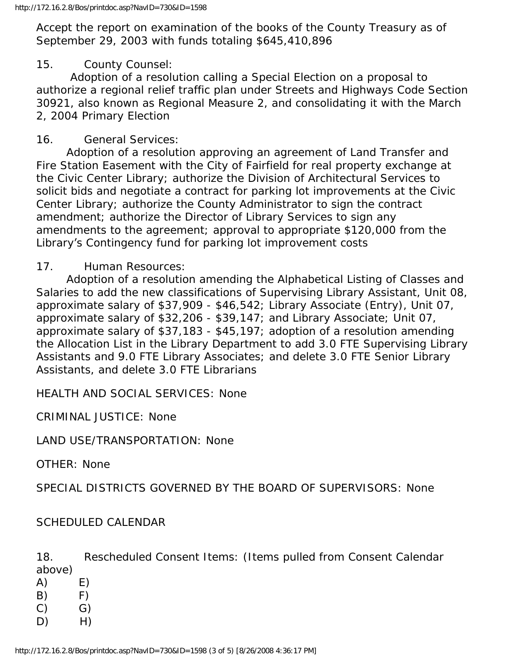Accept the report on examination of the books of the County Treasury as of September 29, 2003 with funds totaling \$645,410,896

### 15. County Counsel:

 Adoption of a resolution calling a Special Election on a proposal to authorize a regional relief traffic plan under Streets and Highways Code Section 30921, also known as Regional Measure 2, and consolidating it with the March 2, 2004 Primary Election

### 16. General Services:

 Adoption of a resolution approving an agreement of Land Transfer and Fire Station Easement with the City of Fairfield for real property exchange at the Civic Center Library; authorize the Division of Architectural Services to solicit bids and negotiate a contract for parking lot improvements at the Civic Center Library; authorize the County Administrator to sign the contract amendment; authorize the Director of Library Services to sign any amendments to the agreement; approval to appropriate \$120,000 from the Library's Contingency fund for parking lot improvement costs

### 17. Human Resources:

 Adoption of a resolution amending the Alphabetical Listing of Classes and Salaries to add the new classifications of Supervising Library Assistant, Unit 08, approximate salary of \$37,909 - \$46,542; Library Associate (Entry), Unit 07, approximate salary of \$32,206 - \$39,147; and Library Associate; Unit 07, approximate salary of \$37,183 - \$45,197; adoption of a resolution amending the Allocation List in the Library Department to add 3.0 FTE Supervising Library Assistants and 9.0 FTE Library Associates; and delete 3.0 FTE Senior Library Assistants, and delete 3.0 FTE Librarians

HEALTH AND SOCIAL SERVICES: None

CRIMINAL JUSTICE: None

LAND USE/TRANSPORTATION: None

OTHER: None

SPECIAL DISTRICTS GOVERNED BY THE BOARD OF SUPERVISORS: None

### SCHEDULED CALENDAR

18. Rescheduled Consent Items: (Items pulled from Consent Calendar above)

- $(A)$   $E)$  $(B)$   $F)$
- $(C)$   $G)$
- D) H)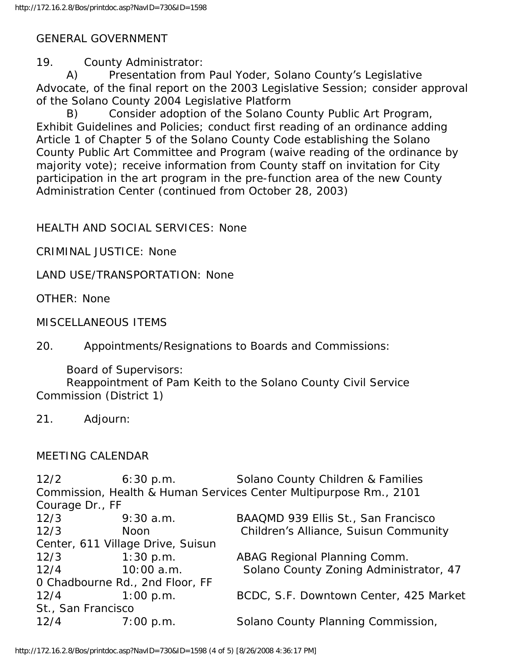## GENERAL GOVERNMENT

19. County Administrator:

 A) Presentation from Paul Yoder, Solano County's Legislative Advocate, of the final report on the 2003 Legislative Session; consider approval of the Solano County 2004 Legislative Platform

 B) Consider adoption of the Solano County Public Art Program, Exhibit Guidelines and Policies; conduct first reading of an ordinance adding Article 1 of Chapter 5 of the Solano County Code establishing the Solano County Public Art Committee and Program (waive reading of the ordinance by majority vote); receive information from County staff on invitation for City participation in the art program in the pre-function area of the new County Administration Center (continued from October 28, 2003)

HEALTH AND SOCIAL SERVICES: None

CRIMINAL JUSTICE: None

LAND USE/TRANSPORTATION: None

OTHER: None

MISCELLANEOUS ITEMS

20. Appointments/Resignations to Boards and Commissions:

Board of Supervisors:

 Reappointment of Pam Keith to the Solano County Civil Service Commission (District 1)

## MEETING CALENDAR

12/2 6:30 p.m. Solano County Children & Families Commission, Health & Human Services Center Multipurpose Rm., 2101 Courage Dr., FF 12/3 9:30 a.m. BAAQMD 939 Ellis St., San Francisco 12/3 Noon Children's Alliance, Suisun Community Center, 611 Village Drive, Suisun 12/3 1:30 p.m. ABAG Regional Planning Comm. 12/4 10:00 a.m. Solano County Zoning Administrator, 47 0 Chadbourne Rd., 2nd Floor, FF 12/4 1:00 p.m. BCDC, S.F. Downtown Center, 425 Market St., San Francisco 12/4 7:00 p.m. Solano County Planning Commission,

<sup>21.</sup> Adjourn: